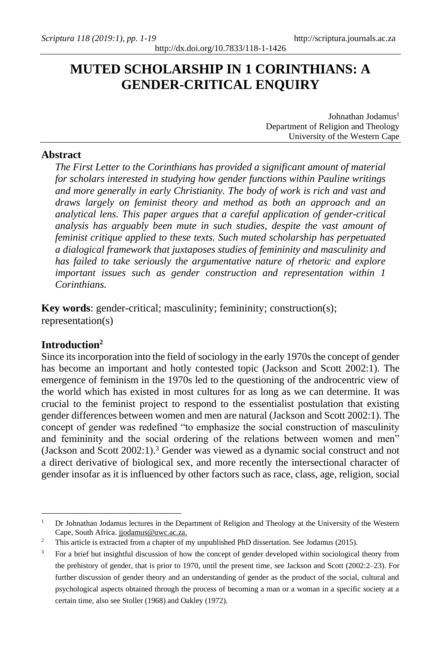# **MUTED SCHOLARSHIP IN 1 CORINTHIANS: A GENDER-CRITICAL ENQUIRY**

Johnathan Jodamus<sup>1</sup> Department of Religion and Theology University of the Western Cape

## **Abstract**

*The First Letter to the Corinthians has provided a significant amount of material for scholars interested in studying how gender functions within Pauline writings and more generally in early Christianity. The body of work is rich and vast and draws largely on feminist theory and method as both an approach and an analytical lens. This paper argues that a careful application of gender-critical analysis has arguably been mute in such studies, despite the vast amount of feminist critique applied to these texts. Such muted scholarship has perpetuated a dialogical framework that juxtaposes studies of femininity and masculinity and has failed to take seriously the argumentative nature of rhetoric and explore important issues such as gender construction and representation within 1 Corinthians.* 

**Key words**: gender-critical; masculinity; femininity; construction(s); representation(s)

## **Introduction<sup>2</sup>**

Since its incorporation into the field of sociology in the early 1970s the concept of gender has become an important and hotly contested topic (Jackson and Scott 2002:1). The emergence of feminism in the 1970s led to the questioning of the androcentric view of the world which has existed in most cultures for as long as we can determine. It was crucial to the feminist project to respond to the essentialist postulation that existing gender differences between women and men are natural (Jackson and Scott 2002:1). The concept of gender was redefined "to emphasize the social construction of masculinity and femininity and the social ordering of the relations between women and men" (Jackson and Scott  $2002:1$ ).<sup>3</sup> Gender was viewed as a dynamic social construct and not a direct derivative of biological sex, and more recently the intersectional character of gender insofar as it is influenced by other factors such as race, class, age, religion, social

<sup>1</sup> Dr Johnathan Jodamus lectures in the Department of Religion and Theology at the University of the Western Cape, South Africa[. jjodamus@uwc.ac.za.](mailto:jjodamus@uwc.ac.za)

<sup>&</sup>lt;sup>2</sup> This article is extracted from a chapter of my unpublished PhD dissertation. See Jodamus (2015).

<sup>3</sup> For a brief but insightful discussion of how the concept of gender developed within sociological theory from the prehistory of gender, that is prior to 1970, until the present time, see Jackson and Scott (2002:2-23). For further discussion of gender theory and an understanding of gender as the product of the social, cultural and psychological aspects obtained through the process of becoming a man or a woman in a specific society at a certain time, also see Stoller (1968) and Oakley (1972).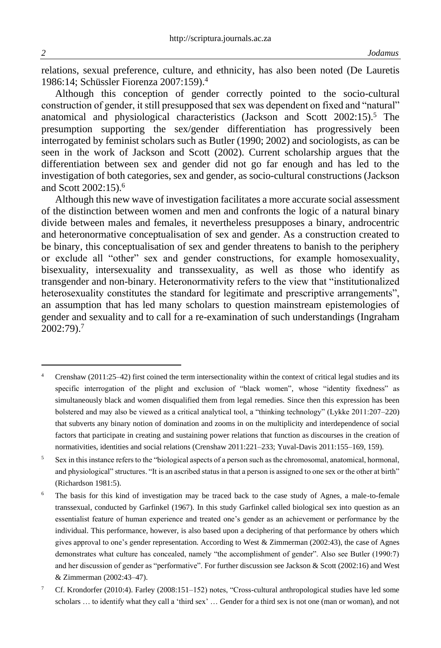relations, sexual preference, culture, and ethnicity, has also been noted (De Lauretis 1986:14; Schüssler Fiorenza 2007:159).<sup>4</sup>

Although this conception of gender correctly pointed to the socio-cultural construction of gender, it still presupposed that sex was dependent on fixed and "natural" anatomical and physiological characteristics (Jackson and Scott  $2002:15$ ).<sup>5</sup> The presumption supporting the sex/gender differentiation has progressively been interrogated by feminist scholars such as Butler (1990; 2002) and sociologists, as can be seen in the work of Jackson and Scott (2002). Current scholarship argues that the differentiation between sex and gender did not go far enough and has led to the investigation of both categories, sex and gender, as socio-cultural constructions (Jackson and Scott 2002:15).<sup>6</sup>

Although this new wave of investigation facilitates a more accurate social assessment of the distinction between women and men and confronts the logic of a natural binary divide between males and females, it nevertheless presupposes a binary, androcentric and heteronormative conceptualisation of sex and gender. As a construction created to be binary, this conceptualisation of sex and gender threatens to banish to the periphery or exclude all "other" sex and gender constructions, for example homosexuality, bisexuality, intersexuality and transsexuality, as well as those who identify as transgender and non-binary. Heteronormativity refers to the view that "institutionalized heterosexuality constitutes the standard for legitimate and prescriptive arrangements", an assumption that has led many scholars to question mainstream epistemologies of gender and sexuality and to call for a re-examination of such understandings (Ingraham 2002:79).<sup>7</sup>

<sup>5</sup> Sex in this instance refers to the "biological aspects of a person such as the chromosomal, anatomical, hormonal, and physiological" structures. "It is an ascribed status in that a person is assigned to one sex or the other at birth" (Richardson 1981:5).

The basis for this kind of investigation may be traced back to the case study of Agnes, a male-to-female transsexual, conducted by Garfinkel (1967). In this study Garfinkel called biological sex into question as an essentialist feature of human experience and treated one's gender as an achievement or performance by the individual. This performance, however, is also based upon a deciphering of that performance by others which gives approval to one's gender representation. According to West & Zimmerman (2002:43), the case of Agnes demonstrates what culture has concealed, namely "the accomplishment of gender". Also see Butler (1990:7) and her discussion of gender as "performative". For further discussion see Jackson & Scott (2002:16) and West & Zimmerman (2002:43–47).

<sup>7</sup> Cf. Krondorfer (2010:4). Farley (2008:151–152) notes, "Cross-cultural anthropological studies have led some scholars … to identify what they call a 'third sex' … Gender for a third sex is not one (man or woman), and not

Crenshaw (2011:25–42) first coined the term intersectionality within the context of critical legal studies and its specific interrogation of the plight and exclusion of "black women", whose "identity fixedness" as simultaneously black and women disqualified them from legal remedies. Since then this expression has been bolstered and may also be viewed as a critical analytical tool, a "thinking technology" (Lykke 2011:207–220) that subverts any binary notion of domination and zooms in on the multiplicity and interdependence of social factors that participate in creating and sustaining power relations that function as discourses in the creation of normativities, identities and social relations (Crenshaw 2011:221–233; Yuval-Davis 2011:155–169, 159).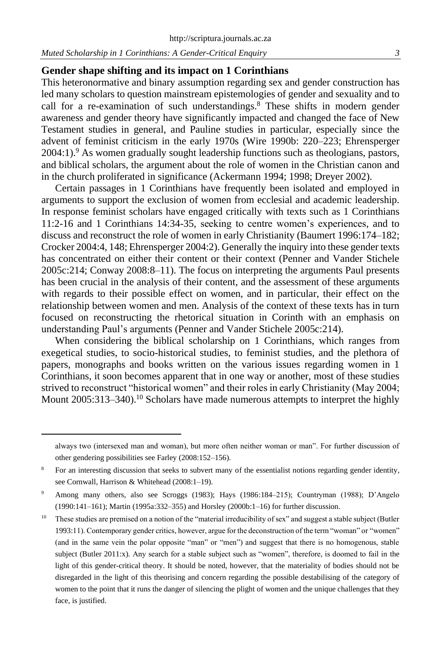## **Gender shape shifting and its impact on 1 Corinthians**

This heteronormative and binary assumption regarding sex and gender construction has led many scholars to question mainstream epistemologies of gender and sexuality and to call for a re-examination of such understandings. $8$  These shifts in modern gender awareness and gender theory have significantly impacted and changed the face of New Testament studies in general, and Pauline studies in particular, especially since the advent of feminist criticism in the early 1970s (Wire 1990b: 220–223; Ehrensperger 2004:1).<sup>9</sup> As women gradually sought leadership functions such as theologians, pastors, and biblical scholars, the argument about the role of women in the Christian canon and in the church proliferated in significance (Ackermann 1994; 1998; Dreyer 2002).

Certain passages in 1 Corinthians have frequently been isolated and employed in arguments to support the exclusion of women from ecclesial and academic leadership. In response feminist scholars have engaged critically with texts such as 1 Corinthians 11:2-16 and 1 Corinthians 14:34-35, seeking to centre women's experiences, and to discuss and reconstruct the role of women in early Christianity (Baumert 1996:174–182; Crocker 2004:4, 148; Ehrensperger 2004:2). Generally the inquiry into these gender texts has concentrated on either their content or their context (Penner and Vander Stichele 2005c:214; Conway 2008:8–11). The focus on interpreting the arguments Paul presents has been crucial in the analysis of their content, and the assessment of these arguments with regards to their possible effect on women, and in particular, their effect on the relationship between women and men. Analysis of the context of these texts has in turn focused on reconstructing the rhetorical situation in Corinth with an emphasis on understanding Paul's arguments (Penner and Vander Stichele 2005c:214).

When considering the biblical scholarship on 1 Corinthians, which ranges from exegetical studies, to socio-historical studies, to feminist studies, and the plethora of papers, monographs and books written on the various issues regarding women in 1 Corinthians, it soon becomes apparent that in one way or another, most of these studies strived to reconstruct "historical women" and their roles in early Christianity (May 2004; Mount 2005:313–340).<sup>10</sup> Scholars have made numerous attempts to interpret the highly

always two (intersexed man and woman), but more often neither woman or man". For further discussion of other gendering possibilities see Farley (2008:152–156).

<sup>8</sup> For an interesting discussion that seeks to subvert many of the essentialist notions regarding gender identity, see Cornwall, Harrison & Whitehead (2008:1–19).

<sup>9</sup> Among many others, also see Scroggs (1983); Hays (1986:184–215); Countryman (1988); D'Angelo (1990:141–161); Martin (1995a:332–355) and Horsley (2000b:1–16) for further discussion.

<sup>&</sup>lt;sup>10</sup> These studies are premised on a notion of the "material irreducibility of sex" and suggest a stable subject (Butler 1993:11). Contemporary gender critics, however, argue for the deconstruction of the term "woman" or "women" (and in the same vein the polar opposite "man" or "men") and suggest that there is no homogenous, stable subject (Butler 2011:x). Any search for a stable subject such as "women", therefore, is doomed to fail in the light of this gender-critical theory. It should be noted, however, that the materiality of bodies should not be disregarded in the light of this theorising and concern regarding the possible destabilising of the category of women to the point that it runs the danger of silencing the plight of women and the unique challenges that they face, is justified.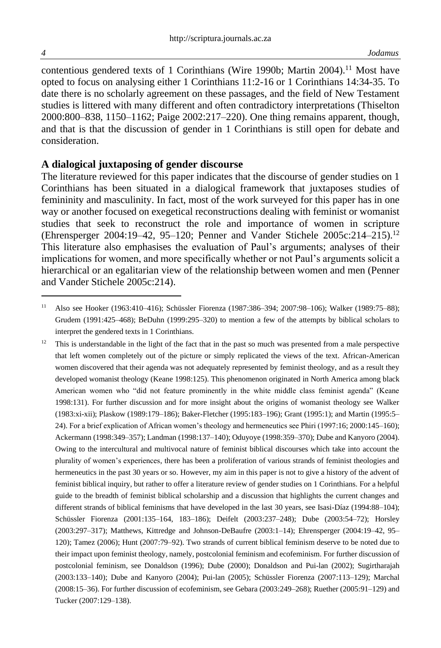contentious gendered texts of 1 Corinthians (Wire 1990b; Martin 2004).<sup>11</sup> Most have opted to focus on analysing either 1 Corinthians 11:2-16 or 1 Corinthians 14:34-35. To date there is no scholarly agreement on these passages, and the field of New Testament studies is littered with many different and often contradictory interpretations (Thiselton 2000:800–838, 1150–1162; Paige 2002:217–220). One thing remains apparent, though, and that is that the discussion of gender in 1 Corinthians is still open for debate and consideration.

## **A dialogical juxtaposing of gender discourse**

The literature reviewed for this paper indicates that the discourse of gender studies on 1 Corinthians has been situated in a dialogical framework that juxtaposes studies of femininity and masculinity. In fact, most of the work surveyed for this paper has in one way or another focused on exegetical reconstructions dealing with feminist or womanist studies that seek to reconstruct the role and importance of women in scripture (Ehrensperger 2004:19–42, 95–120; Penner and Vander Stichele 2005c:214–215).<sup>12</sup> This literature also emphasises the evaluation of Paul's arguments; analyses of their implications for women, and more specifically whether or not Paul's arguments solicit a hierarchical or an egalitarian view of the relationship between women and men (Penner and Vander Stichele 2005c:214).

<sup>11</sup> Also see Hooker (1963:410–416); Schüssler Fiorenza (1987:386–394; 2007:98–106); Walker (1989:75–88); Grudem (1991:425–468); BeDuhn (1999:295–320) to mention a few of the attempts by biblical scholars to interpret the gendered texts in 1 Corinthians.

 $12$  This is understandable in the light of the fact that in the past so much was presented from a male perspective that left women completely out of the picture or simply replicated the views of the text. African-American women discovered that their agenda was not adequately represented by feminist theology, and as a result they developed womanist theology (Keane 1998:125). This phenomenon originated in North America among black American women who "did not feature prominently in the white middle class feminist agenda" (Keane 1998:131). For further discussion and for more insight about the origins of womanist theology see Walker (1983:xi-xii); Plaskow (1989:179–186); Baker-Fletcher (1995:183–196); Grant (1995:1); and Martin (1995:5– 24). For a brief explication of African women's theology and hermeneutics see Phiri (1997:16; 2000:145–160); Ackermann (1998:349–357); Landman (1998:137–140); Oduyoye (1998:359–370); Dube and Kanyoro (2004). Owing to the intercultural and multivocal nature of feminist biblical discourses which take into account the plurality of women's experiences, there has been a proliferation of various strands of feminist theologies and hermeneutics in the past 30 years or so. However, my aim in this paper is not to give a history of the advent of feminist biblical inquiry, but rather to offer a literature review of gender studies on 1 Corinthians. For a helpful guide to the breadth of feminist biblical scholarship and a discussion that highlights the current changes and different strands of biblical feminisms that have developed in the last 30 years, see Isasi-Díaz (1994:88–104); Schüssler Fiorenza (2001:135–164, 183–186); Deifelt (2003:237–248); Dube (2003:54–72); Horsley (2003:297–317); Matthews, Kittredge and Johnson-DeBaufre (2003:1–14); Ehrensperger (2004:19–42, 95– 120); Tamez (2006); Hunt (2007:79–92). Two strands of current biblical feminism deserve to be noted due to their impact upon feminist theology, namely, postcolonial feminism and ecofeminism. For further discussion of postcolonial feminism, see Donaldson (1996); Dube (2000); Donaldson and Pui-lan (2002); Sugirtharajah (2003:133–140); Dube and Kanyoro (2004); Pui-lan (2005); Schüssler Fiorenza (2007:113–129); Marchal (2008:15–36). For further discussion of ecofeminism, see Gebara (2003:249–268); Ruether (2005:91–129) and Tucker (2007:129–138).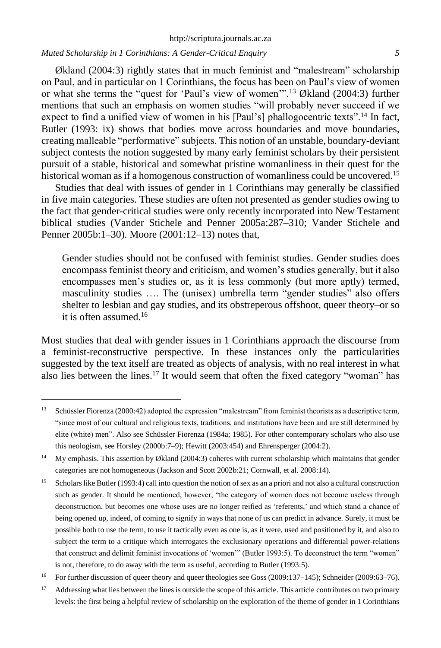Økland (2004:3) rightly states that in much feminist and "malestream" scholarship on Paul, and in particular on 1 Corinthians, the focus has been on Paul's view of women or what she terms the "quest for 'Paul's view of women'".<sup>13</sup> Økland (2004:3) further mentions that such an emphasis on women studies "will probably never succeed if we expect to find a unified view of women in his [Paul's] phallogocentric texts".<sup>14</sup> In fact, Butler (1993: ix) shows that bodies move across boundaries and move boundaries, creating malleable "performative" subjects. This notion of an unstable, boundary-deviant subject contests the notion suggested by many early feminist scholars by their persistent pursuit of a stable, historical and somewhat pristine womanliness in their quest for the historical woman as if a homogenous construction of womanliness could be uncovered.<sup>15</sup>

Studies that deal with issues of gender in 1 Corinthians may generally be classified in five main categories. These studies are often not presented as gender studies owing to the fact that gender-critical studies were only recently incorporated into New Testament biblical studies (Vander Stichele and Penner 2005a:287–310; Vander Stichele and Penner 2005b:1–30). Moore (2001:12–13) notes that,

Gender studies should not be confused with feminist studies. Gender studies does encompass feminist theory and criticism, and women's studies generally, but it also encompasses men's studies or, as it is less commonly (but more aptly) termed, masculinity studies …. The (unisex) umbrella term "gender studies" also offers shelter to lesbian and gay studies, and its obstreperous offshoot, queer theory–or so it is often assumed  $16$ 

Most studies that deal with gender issues in 1 Corinthians approach the discourse from a feminist-reconstructive perspective. In these instances only the particularities suggested by the text itself are treated as objects of analysis, with no real interest in what also lies between the lines.<sup>17</sup> It would seem that often the fixed category "woman" has

<sup>&</sup>lt;sup>13</sup> Schüssler Fiorenza (2000:42) adopted the expression "malestream" from feminist theorists as a descriptive term, "since most of our cultural and religious texts, traditions, and institutions have been and are still determined by elite (white) men". Also see Schüssler Fiorenza (1984a; 1985). For other contemporary scholars who also use this neologism, see Horsley (2000b:7–9); Hewitt (2003:454) and Ehrensperger (2004:2).

<sup>&</sup>lt;sup>14</sup> My emphasis. This assertion by Økland (2004:3) coheres with current scholarship which maintains that gender categories are not homogeneous (Jackson and Scott 2002b:21; Cornwall, et al. 2008:14).

<sup>&</sup>lt;sup>15</sup> Scholars like Butler (1993:4) call into question the notion of sex as an a priori and not also a cultural construction such as gender. It should be mentioned, however, "the category of women does not become useless through deconstruction, but becomes one whose uses are no longer reified as 'referents,' and which stand a chance of being opened up, indeed, of coming to signify in ways that none of us can predict in advance. Surely, it must be possible both to use the term, to use it tactically even as one is, as it were, used and positioned by it, and also to subject the term to a critique which interrogates the exclusionary operations and differential power-relations that construct and delimit feminist invocations of 'women'" (Butler 1993:5). To deconstruct the term "women" is not, therefore, to do away with the term as useful, according to Butler (1993:5).

<sup>&</sup>lt;sup>16</sup> For further discussion of queer theory and queer theologies see Goss (2009:137–145); Schneider (2009:63–76).

<sup>&</sup>lt;sup>17</sup> Addressing what lies between the lines is outside the scope of this article. This article contributes on two primary levels: the first being a helpful review of scholarship on the exploration of the theme of gender in 1 Corinthians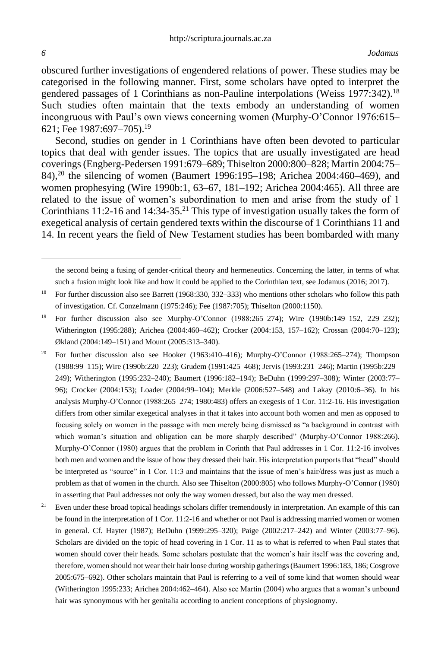obscured further investigations of engendered relations of power. These studies may be categorised in the following manner. First, some scholars have opted to interpret the gendered passages of 1 Corinthians as non-Pauline interpolations (Weiss 1977:342). 18 Such studies often maintain that the texts embody an understanding of women incongruous with Paul's own views concerning women (Murphy-O'Connor 1976:615– 621; Fee 1987:697–705).<sup>19</sup>

Second, studies on gender in 1 Corinthians have often been devoted to particular topics that deal with gender issues. The topics that are usually investigated are head coverings (Engberg-Pedersen 1991:679–689; Thiselton 2000:800–828; Martin 2004:75– 84),<sup>20</sup> the silencing of women (Baumert 1996:195–198; Arichea 2004:460–469), and women prophesying (Wire 1990b:1, 63–67, 181–192; Arichea 2004:465). All three are related to the issue of women's subordination to men and arise from the study of 1 Corinthians 11:2-16 and  $14:34-35<sup>21</sup>$  This type of investigation usually takes the form of exegetical analysis of certain gendered texts within the discourse of 1 Corinthians 11 and 14. In recent years the field of New Testament studies has been bombarded with many

the second being a fusing of gender-critical theory and hermeneutics. Concerning the latter, in terms of what such a fusion might look like and how it could be applied to the Corinthian text, see Jodamus (2016; 2017).

<sup>&</sup>lt;sup>18</sup> For further discussion also see Barrett (1968:330, 332–333) who mentions other scholars who follow this path of investigation. Cf. Conzelmann (1975:246); Fee (1987:705); Thiselton (2000:1150).

<sup>19</sup> For further discussion also see Murphy-O'Connor (1988:265–274); Wire (1990b:149–152, 229–232); Witherington (1995:288); Arichea (2004:460–462); Crocker (2004:153, 157–162); Crossan (2004:70–123); Økland (2004:149–151) and Mount (2005:313–340).

<sup>&</sup>lt;sup>20</sup> For further discussion also see Hooker (1963:410–416); Murphy-O'Connor (1988:265–274); Thompson (1988:99–115); Wire (1990b:220–223); Grudem (1991:425–468); Jervis (1993:231–246); Martin (1995b:229– 249); Witherington (1995:232–240); Baumert (1996:182–194); BeDuhn (1999:297–308); Winter (2003:77– 96); Crocker (2004:153); Loader (2004:99–104); Merkle (2006:527–548) and Lakay (2010:6–36). In his analysis Murphy-O'Connor (1988:265–274; 1980:483) offers an exegesis of 1 Cor. 11:2-16. His investigation differs from other similar exegetical analyses in that it takes into account both women and men as opposed to focusing solely on women in the passage with men merely being dismissed as "a background in contrast with which woman's situation and obligation can be more sharply described" (Murphy-O'Connor 1988:266). Murphy-O'Connor (1980) argues that the problem in Corinth that Paul addresses in 1 Cor. 11:2-16 involves both men and women and the issue of how they dressed their hair. His interpretation purports that "head" should be interpreted as "source" in 1 Cor. 11:3 and maintains that the issue of men's hair/dress was just as much a problem as that of women in the church. Also see Thiselton (2000:805) who follows Murphy-O'Connor (1980) in asserting that Paul addresses not only the way women dressed, but also the way men dressed.

<sup>&</sup>lt;sup>21</sup> Even under these broad topical headings scholars differ tremendously in interpretation. An example of this can be found in the interpretation of 1 Cor. 11:2-16 and whether or not Paul is addressing married women or women in general. Cf. Hayter (1987); BeDuhn (1999:295–320); Paige (2002:217–242) and Winter (2003:77–96). Scholars are divided on the topic of head covering in 1 Cor. 11 as to what is referred to when Paul states that women should cover their heads. Some scholars postulate that the women's hair itself was the covering and, therefore, women should not wear their hair loose during worship gatherings (Baumert 1996:183, 186; Cosgrove 2005:675–692). Other scholars maintain that Paul is referring to a veil of some kind that women should wear (Witherington 1995:233; Arichea 2004:462–464). Also see Martin (2004) who argues that a woman's unbound hair was synonymous with her genitalia according to ancient conceptions of physiognomy.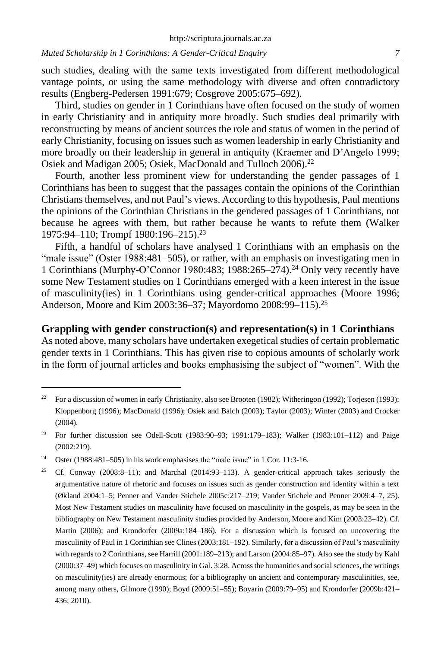such studies, dealing with the same texts investigated from different methodological vantage points, or using the same methodology with diverse and often contradictory results (Engberg-Pedersen 1991:679; Cosgrove 2005:675–692).

Third, studies on gender in 1 Corinthians have often focused on the study of women in early Christianity and in antiquity more broadly. Such studies deal primarily with reconstructing by means of ancient sources the role and status of women in the period of early Christianity, focusing on issues such as women leadership in early Christianity and more broadly on their leadership in general in antiquity (Kraemer and D'Angelo 1999; Osiek and Madigan 2005; Osiek, MacDonald and Tulloch 2006).<sup>22</sup>

Fourth, another less prominent view for understanding the gender passages of 1 Corinthians has been to suggest that the passages contain the opinions of the Corinthian Christians themselves, and not Paul's views. According to this hypothesis, Paul mentions the opinions of the Corinthian Christians in the gendered passages of 1 Corinthians, not because he agrees with them, but rather because he wants to refute them (Walker 1975:94–110; Trompf 1980:196–215).<sup>23</sup>

Fifth, a handful of scholars have analysed 1 Corinthians with an emphasis on the "male issue" (Oster 1988:481–505), or rather, with an emphasis on investigating men in 1 Corinthians (Murphy-O'Connor 1980:483; 1988:265–274).<sup>24</sup> Only very recently have some New Testament studies on 1 Corinthians emerged with a keen interest in the issue of masculinity(ies) in 1 Corinthians using gender-critical approaches (Moore 1996; Anderson, Moore and Kim 2003:36–37; Mayordomo 2008:99–115).<sup>25</sup>

## **Grappling with gender construction(s) and representation(s) in 1 Corinthians**

As noted above, many scholars have undertaken exegetical studies of certain problematic gender texts in 1 Corinthians. This has given rise to copious amounts of scholarly work in the form of journal articles and books emphasising the subject of "women". With the

<sup>&</sup>lt;sup>22</sup> For a discussion of women in early Christianity, also see Brooten (1982); Witheringon (1992); Torjesen (1993); Kloppenborg (1996); MacDonald (1996); Osiek and Balch (2003); Taylor (2003); Winter (2003) and Crocker (2004).

<sup>23</sup> For further discussion see Odell-Scott (1983:90–93; 1991:179–183); Walker (1983:101–112) and Paige (2002:219).

<sup>&</sup>lt;sup>24</sup> Oster (1988:481–505) in his work emphasises the "male issue" in 1 Cor. 11:3-16.

<sup>&</sup>lt;sup>25</sup> Cf. Conway (2008:8-11); and Marchal (2014:93-113). A gender-critical approach takes seriously the argumentative nature of rhetoric and focuses on issues such as gender construction and identity within a text (Økland 2004:1–5; Penner and Vander Stichele 2005c:217–219; Vander Stichele and Penner 2009:4–7, 25). Most New Testament studies on masculinity have focused on masculinity in the gospels, as may be seen in the bibliography on New Testament masculinity studies provided by Anderson, Moore and Kim (2003:23–42). Cf. Martin (2006); and Krondorfer (2009a:184–186). For a discussion which is focused on uncovering the masculinity of Paul in 1 Corinthian see Clines (2003:181–192). Similarly, for a discussion of Paul's masculinity with regards to 2 Corinthians, see Harrill (2001:189–213); and Larson (2004:85–97). Also see the study by Kahl (2000:37–49) which focuses on masculinity in Gal. 3:28. Across the humanities and social sciences, the writings on masculinity(ies) are already enormous; for a bibliography on ancient and contemporary masculinities, see, among many others, Gilmore (1990); Boyd (2009:51–55); Boyarin (2009:79–95) and Krondorfer (2009b:421– 436; 2010).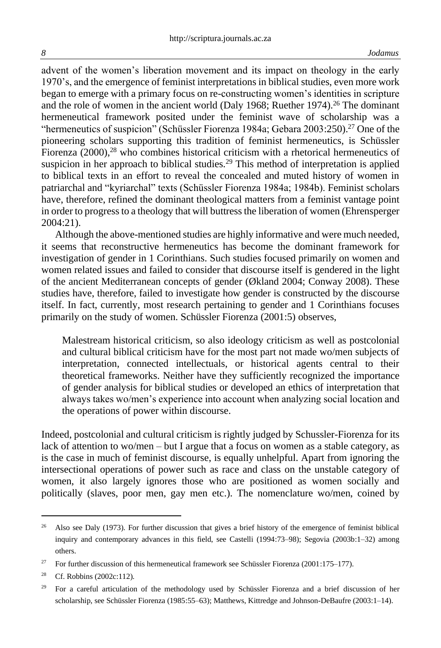advent of the women's liberation movement and its impact on theology in the early 1970's, and the emergence of feminist interpretations in biblical studies, even more work began to emerge with a primary focus on re-constructing women's identities in scripture and the role of women in the ancient world (Daly 1968; Ruether 1974).<sup>26</sup> The dominant hermeneutical framework posited under the feminist wave of scholarship was a "hermeneutics of suspicion" (Schüssler Fiorenza 1984a; Gebara 2003:250).<sup>27</sup> One of the pioneering scholars supporting this tradition of feminist hermeneutics, is Schüssler Fiorenza  $(2000)$ ,<sup>28</sup> who combines historical criticism with a rhetorical hermeneutics of suspicion in her approach to biblical studies.<sup>29</sup> This method of interpretation is applied to biblical texts in an effort to reveal the concealed and muted history of women in patriarchal and "kyriarchal" texts (Schüssler Fiorenza 1984a; 1984b). Feminist scholars have, therefore, refined the dominant theological matters from a feminist vantage point in order to progress to a theology that will buttress the liberation of women (Ehrensperger 2004:21).

Although the above-mentioned studies are highly informative and were much needed, it seems that reconstructive hermeneutics has become the dominant framework for investigation of gender in 1 Corinthians. Such studies focused primarily on women and women related issues and failed to consider that discourse itself is gendered in the light of the ancient Mediterranean concepts of gender (Økland 2004; Conway 2008). These studies have, therefore, failed to investigate how gender is constructed by the discourse itself. In fact, currently, most research pertaining to gender and 1 Corinthians focuses primarily on the study of women. Schüssler Fiorenza (2001:5) observes,

Malestream historical criticism, so also ideology criticism as well as postcolonial and cultural biblical criticism have for the most part not made wo/men subjects of interpretation, connected intellectuals, or historical agents central to their theoretical frameworks. Neither have they sufficiently recognized the importance of gender analysis for biblical studies or developed an ethics of interpretation that always takes wo/men's experience into account when analyzing social location and the operations of power within discourse.

Indeed, postcolonial and cultural criticism is rightly judged by Schussler-Fiorenza for its lack of attention to wo/men – but I argue that a focus on women as a stable category, as is the case in much of feminist discourse, is equally unhelpful. Apart from ignoring the intersectional operations of power such as race and class on the unstable category of women, it also largely ignores those who are positioned as women socially and politically (slaves, poor men, gay men etc.). The nomenclature wo/men, coined by

<sup>&</sup>lt;sup>26</sup> Also see Daly (1973). For further discussion that gives a brief history of the emergence of feminist biblical inquiry and contemporary advances in this field, see Castelli (1994:73–98); Segovia (2003b:1–32) among others.

<sup>&</sup>lt;sup>27</sup> For further discussion of this hermeneutical framework see Schüssler Fiorenza (2001:175–177).

<sup>&</sup>lt;sup>28</sup> Cf. Robbins  $(2002c:112)$ .

<sup>&</sup>lt;sup>29</sup> For a careful articulation of the methodology used by Schüssler Fiorenza and a brief discussion of her scholarship, see Schüssler Fiorenza (1985:55–63); Matthews, Kittredge and Johnson-DeBaufre (2003:1–14).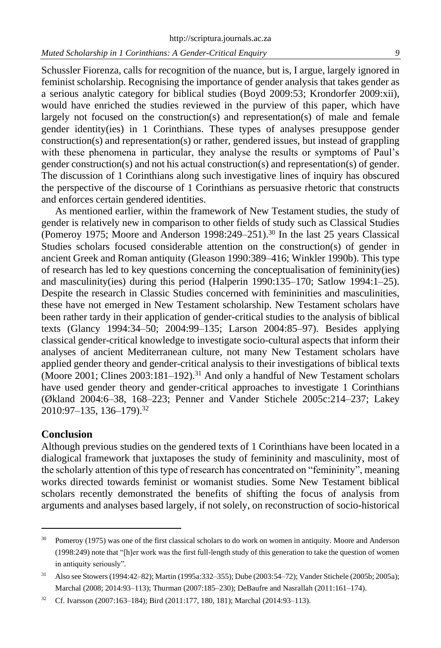Schussler Fiorenza, calls for recognition of the nuance, but is, I argue, largely ignored in feminist scholarship. Recognising the importance of gender analysis that takes gender as a serious analytic category for biblical studies (Boyd 2009:53; Krondorfer 2009:xii), would have enriched the studies reviewed in the purview of this paper, which have largely not focused on the construction(s) and representation(s) of male and female gender identity(ies) in 1 Corinthians. These types of analyses presuppose gender construction(s) and representation(s) or rather, gendered issues, but instead of grappling with these phenomena in particular, they analyse the results or symptoms of Paul's gender construction(s) and not his actual construction(s) and representation(s) of gender. The discussion of 1 Corinthians along such investigative lines of inquiry has obscured the perspective of the discourse of 1 Corinthians as persuasive rhetoric that constructs and enforces certain gendered identities.

As mentioned earlier, within the framework of New Testament studies, the study of gender is relatively new in comparison to other fields of study such as Classical Studies (Pomeroy 1975; Moore and Anderson 1998:249–251).<sup>30</sup> In the last 25 years Classical Studies scholars focused considerable attention on the construction(s) of gender in ancient Greek and Roman antiquity (Gleason 1990:389–416; Winkler 1990b). This type of research has led to key questions concerning the conceptualisation of femininity(ies) and masculinity(ies) during this period (Halperin 1990:135–170; Satlow 1994:1–25). Despite the research in Classic Studies concerned with femininities and masculinities, these have not emerged in New Testament scholarship. New Testament scholars have been rather tardy in their application of gender-critical studies to the analysis of biblical texts (Glancy 1994:34–50; 2004:99–135; Larson 2004:85–97). Besides applying classical gender-critical knowledge to investigate socio-cultural aspects that inform their analyses of ancient Mediterranean culture, not many New Testament scholars have applied gender theory and gender-critical analysis to their investigations of biblical texts (Moore 2001; Clines  $2003:181-192$ ).<sup>31</sup> And only a handful of New Testament scholars have used gender theory and gender-critical approaches to investigate 1 Corinthians (Økland 2004:6–38, 168–223; Penner and Vander Stichele 2005c:214–237; Lakey 2010:97–135, 136–179). 32

### **Conclusion**

Although previous studies on the gendered texts of 1 Corinthians have been located in a dialogical framework that juxtaposes the study of femininity and masculinity, most of the scholarly attention of this type of research has concentrated on "femininity", meaning works directed towards feminist or womanist studies. Some New Testament biblical scholars recently demonstrated the benefits of shifting the focus of analysis from arguments and analyses based largely, if not solely, on reconstruction of socio-historical

<sup>&</sup>lt;sup>30</sup> Pomeroy (1975) was one of the first classical scholars to do work on women in antiquity. Moore and Anderson (1998:249) note that "[h]er work was the first full-length study of this generation to take the question of women in antiquity seriously".

<sup>31</sup> Also see Stowers (1994:42–82); Martin (1995a:332–355); Dube (2003:54–72); Vander Stichele (2005b; 2005a); Marchal (2008; 2014:93–113); Thurman (2007:185–230); DeBaufre and Nasrallah (2011:161–174).

<sup>32</sup> Cf. Ivarsson (2007:163–184); Bird (2011:177, 180, 181); Marchal (2014:93–113).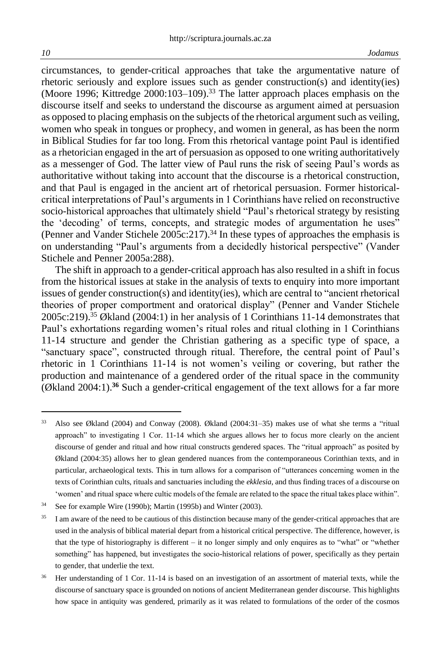circumstances, to gender-critical approaches that take the argumentative nature of rhetoric seriously and explore issues such as gender construction(s) and identity(ies) (Moore 1996; Kittredge 2000:103–109).<sup>33</sup> The latter approach places emphasis on the discourse itself and seeks to understand the discourse as argument aimed at persuasion as opposed to placing emphasis on the subjects of the rhetorical argument such as veiling, women who speak in tongues or prophecy, and women in general, as has been the norm in Biblical Studies for far too long. From this rhetorical vantage point Paul is identified as a rhetorician engaged in the art of persuasion as opposed to one writing authoritatively as a messenger of God. The latter view of Paul runs the risk of seeing Paul's words as authoritative without taking into account that the discourse is a rhetorical construction, and that Paul is engaged in the ancient art of rhetorical persuasion. Former historicalcritical interpretations of Paul's arguments in 1 Corinthians have relied on reconstructive socio-historical approaches that ultimately shield "Paul's rhetorical strategy by resisting the 'decoding' of terms, concepts, and strategic modes of argumentation he uses" (Penner and Vander Stichele 2005c:217).<sup>34</sup> In these types of approaches the emphasis is on understanding "Paul's arguments from a decidedly historical perspective" (Vander Stichele and Penner 2005a:288).

The shift in approach to a gender-critical approach has also resulted in a shift in focus from the historical issues at stake in the analysis of texts to enquiry into more important issues of gender construction(s) and identity(ies), which are central to "ancient rhetorical theories of proper comportment and oratorical display" (Penner and Vander Stichele 2005c:219). <sup>35</sup> Økland (2004:1) in her analysis of 1 Corinthians 11-14 demonstrates that Paul's exhortations regarding women's ritual roles and ritual clothing in 1 Corinthians 11-14 structure and gender the Christian gathering as a specific type of space, a "sanctuary space", constructed through ritual. Therefore, the central point of Paul's rhetoric in 1 Corinthians 11-14 is not women's veiling or covering, but rather the production and maintenance of a gendered order of the ritual space in the community (Økland 2004:1).**<sup>36</sup>** Such a gender-critical engagement of the text allows for a far more

<sup>33</sup> Also see Økland (2004) and Conway (2008). Økland (2004:31–35) makes use of what she terms a "ritual approach" to investigating 1 Cor. 11-14 which she argues allows her to focus more clearly on the ancient discourse of gender and ritual and how ritual constructs gendered spaces. The "ritual approach" as posited by Økland (2004:35) allows her to glean gendered nuances from the contemporaneous Corinthian texts, and in particular, archaeological texts. This in turn allows for a comparison of "utterances concerning women in the texts of Corinthian cults, rituals and sanctuaries including the *ekklesia*, and thus finding traces of a discourse on 'women' and ritual space where cultic models of the female are related to the space the ritual takes place within".

<sup>&</sup>lt;sup>34</sup> See for example Wire (1990b); Martin (1995b) and Winter (2003).

<sup>&</sup>lt;sup>35</sup> I am aware of the need to be cautious of this distinction because many of the gender-critical approaches that are used in the analysis of biblical material depart from a historical critical perspective. The difference, however, is that the type of historiography is different – it no longer simply and only enquires as to "what" or "whether something" has happened, but investigates the socio-historical relations of power, specifically as they pertain to gender, that underlie the text.

<sup>36</sup> Her understanding of 1 Cor. 11-14 is based on an investigation of an assortment of material texts, while the discourse of sanctuary space is grounded on notions of ancient Mediterranean gender discourse. This highlights how space in antiquity was gendered, primarily as it was related to formulations of the order of the cosmos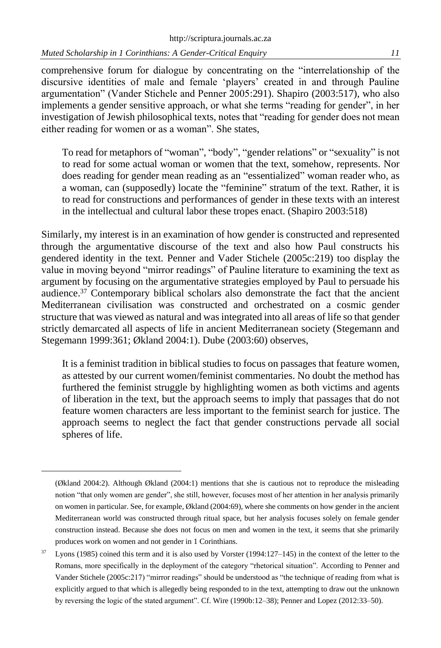comprehensive forum for dialogue by concentrating on the "interrelationship of the discursive identities of male and female 'players' created in and through Pauline argumentation" (Vander Stichele and Penner 2005:291). Shapiro (2003:517), who also implements a gender sensitive approach, or what she terms "reading for gender", in her investigation of Jewish philosophical texts, notes that "reading for gender does not mean either reading for women or as a woman". She states,

To read for metaphors of "woman", "body", "gender relations" or "sexuality" is not to read for some actual woman or women that the text, somehow, represents. Nor does reading for gender mean reading as an "essentialized" woman reader who, as a woman, can (supposedly) locate the "feminine" stratum of the text. Rather, it is to read for constructions and performances of gender in these texts with an interest in the intellectual and cultural labor these tropes enact. (Shapiro 2003:518)

Similarly, my interest is in an examination of how gender is constructed and represented through the argumentative discourse of the text and also how Paul constructs his gendered identity in the text. Penner and Vader Stichele (2005c:219) too display the value in moving beyond "mirror readings" of Pauline literature to examining the text as argument by focusing on the argumentative strategies employed by Paul to persuade his audience.<sup>37</sup> Contemporary biblical scholars also demonstrate the fact that the ancient Mediterranean civilisation was constructed and orchestrated on a cosmic gender structure that was viewed as natural and was integrated into all areas of life so that gender strictly demarcated all aspects of life in ancient Mediterranean society (Stegemann and Stegemann 1999:361; Økland 2004:1). Dube (2003:60) observes,

It is a feminist tradition in biblical studies to focus on passages that feature women, as attested by our current women/feminist commentaries. No doubt the method has furthered the feminist struggle by highlighting women as both victims and agents of liberation in the text, but the approach seems to imply that passages that do not feature women characters are less important to the feminist search for justice. The approach seems to neglect the fact that gender constructions pervade all social spheres of life.

<sup>(</sup>Økland 2004:2). Although Økland (2004:1) mentions that she is cautious not to reproduce the misleading notion "that only women are gender", she still, however, focuses most of her attention in her analysis primarily on women in particular. See, for example, Økland (2004:69), where she comments on how gender in the ancient Mediterranean world was constructed through ritual space, but her analysis focuses solely on female gender construction instead. Because she does not focus on men and women in the text, it seems that she primarily produces work on women and not gender in 1 Corinthians.

Lyons (1985) coined this term and it is also used by Vorster (1994:127-145) in the context of the letter to the Romans, more specifically in the deployment of the category "rhetorical situation". According to Penner and Vander Stichele (2005c:217) "mirror readings" should be understood as "the technique of reading from what is explicitly argued to that which is allegedly being responded to in the text, attempting to draw out the unknown by reversing the logic of the stated argument". Cf. Wire (1990b:12–38); Penner and Lopez (2012:33–50).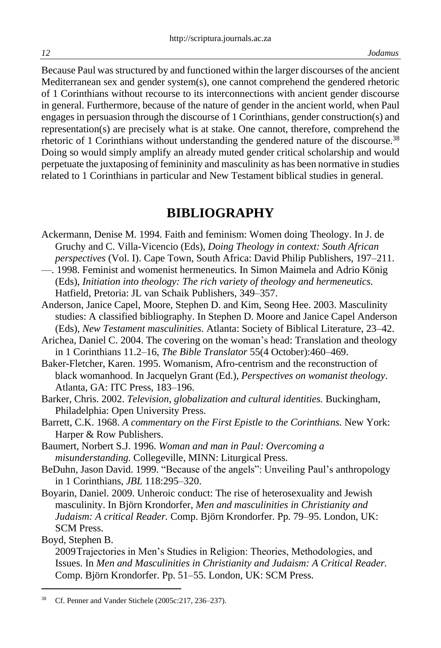Because Paul wasstructured by and functioned within the larger discourses of the ancient Mediterranean sex and gender system(s), one cannot comprehend the gendered rhetoric of 1 Corinthians without recourse to its interconnections with ancient gender discourse in general. Furthermore, because of the nature of gender in the ancient world, when Paul engages in persuasion through the discourse of 1 Corinthians, gender construction(s) and representation(s) are precisely what is at stake. One cannot, therefore, comprehend the rhetoric of 1 Corinthians without understanding the gendered nature of the discourse.<sup>38</sup> Doing so would simply amplify an already muted gender critical scholarship and would perpetuate the juxtaposing of femininity and masculinity as has been normative in studies related to 1 Corinthians in particular and New Testament biblical studies in general.

## **BIBLIOGRAPHY**

- Ackermann, Denise M. 1994. Faith and feminism: Women doing Theology. In J. de Gruchy and C. Villa-Vicencio (Eds), *Doing Theology in context: South African perspectives* (Vol. I). Cape Town, South Africa: David Philip Publishers, 197–211.
- —. 1998. Feminist and womenist hermeneutics. In Simon Maimela and Adrio König (Eds), *Initiation into theology: The rich variety of theology and hermeneutics.*  Hatfield, Pretoria: JL van Schaik Publishers, 349–357.
- Anderson, Janice Capel, Moore, Stephen D. and Kim, Seong Hee. 2003. Masculinity studies: A classified bibliography. In Stephen D. Moore and Janice Capel Anderson (Eds), *New Testament masculinities*. Atlanta: Society of Biblical Literature, 23–42.
- Arichea, Daniel C. 2004. The covering on the woman's head: Translation and theology in 1 Corinthians 11.2–16*, The Bible Translator* 55(4 October):460–469.
- Baker-Fletcher, Karen. 1995. Womanism, Afro-centrism and the reconstruction of black womanhood. In Jacquelyn Grant (Ed.), *Perspectives on womanist theology*. Atlanta, GA: ITC Press, 183–196.
- Barker, Chris. 2002. *Television, globalization and cultural identities.* Buckingham, Philadelphia: Open University Press.
- Barrett, C.K. 1968. *A commentary on the First Epistle to the Corinthians.* New York: Harper & Row Publishers.
- Baumert, Norbert S.J. 1996. *Woman and man in Paul: Overcoming a misunderstanding.* Collegeville, MINN: Liturgical Press.
- BeDuhn, Jason David. 1999. "Because of the angels": Unveiling Paul's anthropology in 1 Corinthians, *JBL* 118:295–320.
- Boyarin, Daniel. 2009. Unheroic conduct: The rise of heterosexuality and Jewish masculinity. In Björn Krondorfer, *Men and masculinities in Christianity and Judaism: A critical Reader.* Comp. Björn Krondorfer. Pp. 79–95. London, UK: SCM Press.

Boyd, Stephen B.

<sup>2009</sup>Trajectories in Men's Studies in Religion: Theories, Methodologies, and Issues. In *Men and Masculinities in Christianity and Judaism: A Critical Reader.* Comp. Björn Krondorfer. Pp. 51–55. London, UK: SCM Press.

<sup>38</sup> Cf. Penner and Vander Stichele (2005c:217, 236–237).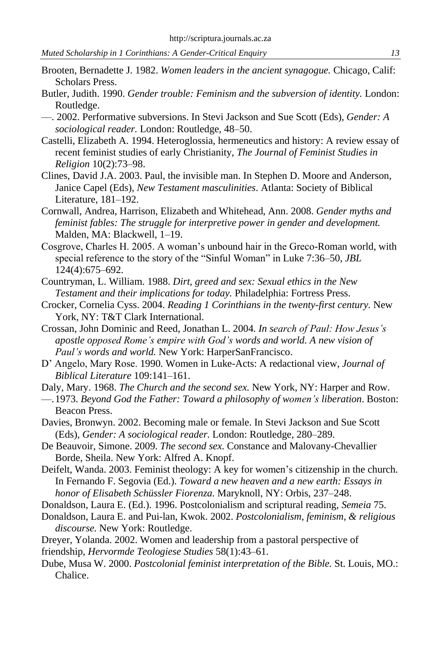- Brooten, Bernadette J. 1982. *Women leaders in the ancient synagogue.* Chicago, Calif: Scholars Press.
- Butler, Judith. 1990. *Gender trouble: Feminism and the subversion of identity.* London: Routledge.
- —. 2002. Performative subversions. In Stevi Jackson and Sue Scott (Eds), *Gender: A sociological reader.* London: Routledge, 48–50.
- Castelli, Elizabeth A. 1994. Heteroglossia, hermeneutics and history: A review essay of recent feminist studies of early Christianity, *The Journal of Feminist Studies in Religion* 10(2):73–98.
- Clines, David J.A. 2003. Paul, the invisible man. In Stephen D. Moore and Anderson, Janice Capel (Eds), *New Testament masculinities*. Atlanta: Society of Biblical Literature, 181–192.
- Cornwall, Andrea, Harrison, Elizabeth and Whitehead, Ann. 2008. *Gender myths and feminist fables: The struggle for interpretive power in gender and development.* Malden, MA: Blackwell, 1–19.
- Cosgrove, Charles H. 2005. A woman's unbound hair in the Greco-Roman world, with special reference to the story of the "Sinful Woman" in Luke 7:36–50, *JBL*  124(4):675–692.
- Countryman, L. William. 1988. *Dirt, greed and sex: Sexual ethics in the New Testament and their implications for today.* Philadelphia: Fortress Press.
- Crocker, Cornelia Cyss. 2004. *Reading 1 Corinthians in the twenty-first century.* New York, NY: T&T Clark International.
- Crossan, John Dominic and Reed, Jonathan L. 2004*. In search of Paul: How Jesus's apostle opposed Rome's empire with God's words and world. A new vision of Paul's words and world.* New York: HarperSanFrancisco.
- D' Angelo, Mary Rose. 1990. Women in Luke-Acts: A redactional view, *Journal of Biblical Literature* 109:141–161.
- Daly, Mary. 1968. *The Church and the second sex.* New York, NY: Harper and Row.
- —.1973. *Beyond God the Father: Toward a philosophy of women's liberation*. Boston: Beacon Press.
- Davies, Bronwyn. 2002. Becoming male or female. In Stevi Jackson and Sue Scott (Eds), *Gender: A sociological reader.* London: Routledge, 280–289.
- De Beauvoir, Simone. 2009. *The second sex.* Constance and Malovany-Chevallier Borde, Sheila. New York: Alfred A. Knopf.
- Deifelt, Wanda. 2003. Feminist theology: A key for women's citizenship in the church. In Fernando F. Segovia (Ed.). *Toward a new heaven and a new earth: Essays in honor of Elisabeth Schüssler Fiorenza.* Maryknoll, NY: Orbis, 237–248.
- Donaldson, Laura E. (Ed.). 1996. Postcolonialism and scriptural reading, *Semeia* 75.
- Donaldson, Laura E. and Pui-lan, Kwok. 2002. *Postcolonialism, feminism, & religious discourse.* New York: Routledge.
- Dreyer, Yolanda. 2002. Women and leadership from a pastoral perspective of
- friendship, *Hervormde Teologiese Studies* 58(1):43–61.
- Dube, Musa W. 2000. *Postcolonial feminist interpretation of the Bible.* St. Louis, MO.: Chalice.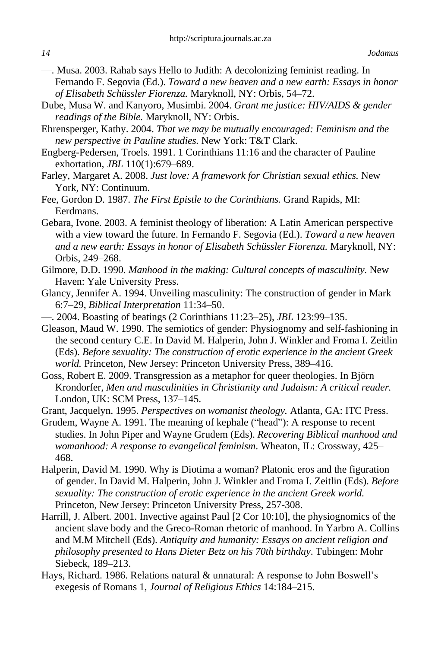- —. Musa. 2003. Rahab says Hello to Judith: A decolonizing feminist reading. In Fernando F. Segovia (Ed.). *Toward a new heaven and a new earth: Essays in honor of Elisabeth Schüssler Fiorenza.* Maryknoll, NY: Orbis, 54–72.
- Dube, Musa W. and Kanyoro, Musimbi. 2004. *Grant me justice: HIV/AIDS & gender readings of the Bible.* Maryknoll, NY: Orbis.
- Ehrensperger, Kathy. 2004. *That we may be mutually encouraged: Feminism and the new perspective in Pauline studies.* New York: T&T Clark.
- Engberg-Pedersen, Troels. 1991. 1 Corinthians 11:16 and the character of Pauline exhortation, *JBL* 110(1):679–689.
- Farley, Margaret A. 2008. *Just love: A framework for Christian sexual ethics.* New York, NY: Continuum.
- Fee, Gordon D. 1987. *The First Epistle to the Corinthians.* Grand Rapids, MI: Eerdmans.
- Gebara, Ivone. 2003. A feminist theology of liberation: A Latin American perspective with a view toward the future. In Fernando F. Segovia (Ed.). *Toward a new heaven and a new earth: Essays in honor of Elisabeth Schüssler Fiorenza.* Maryknoll, NY: Orbis, 249–268.
- Gilmore, D.D. 1990. *Manhood in the making: Cultural concepts of masculinity.* New Haven: Yale University Press.
- Glancy, Jennifer A. 1994. Unveiling masculinity: The construction of gender in Mark 6:7–29, *Biblical Interpretation* 11:34–50.
- —. 2004. Boasting of beatings (2 Corinthians 11:23–25), *JBL* 123:99–135.
- Gleason, Maud W. 1990. The semiotics of gender: Physiognomy and self-fashioning in the second century C.E. In David M. Halperin, John J. Winkler and Froma I. Zeitlin (Eds). *Before sexuality: The construction of erotic experience in the ancient Greek world.* Princeton, New Jersey: Princeton University Press, 389–416.
- Goss, Robert E. 2009. Transgression as a metaphor for queer theologies. In Björn Krondorfer, *Men and masculinities in Christianity and Judaism: A critical reader.* London, UK: SCM Press, 137–145.
- Grant, Jacquelyn. 1995. *Perspectives on womanist theology.* Atlanta, GA: ITC Press.
- Grudem, Wayne A. 1991. The meaning of kephale ("head"): A response to recent studies. In John Piper and Wayne Grudem (Eds). *Recovering Biblical manhood and womanhood: A response to evangelical feminism*. Wheaton, IL: Crossway, 425– 468.
- Halperin, David M. 1990. Why is Diotima a woman? Platonic eros and the figuration of gender. In David M. Halperin, John J. Winkler and Froma I. Zeitlin (Eds). *Before sexuality: The construction of erotic experience in the ancient Greek world.* Princeton, New Jersey: Princeton University Press, 257-308.
- Harrill, J. Albert. 2001. Invective against Paul [2 Cor 10:10], the physiognomics of the ancient slave body and the Greco-Roman rhetoric of manhood. In Yarbro A. Collins and M.M Mitchell (Eds). *Antiquity and humanity: Essays on ancient religion and philosophy presented to Hans Dieter Betz on his 70th birthday*. Tubingen: Mohr Siebeck, 189–213.
- Hays, Richard. 1986. Relations natural & unnatural: A response to John Boswell's exegesis of Romans 1, *Journal of Religious Ethics* 14:184–215.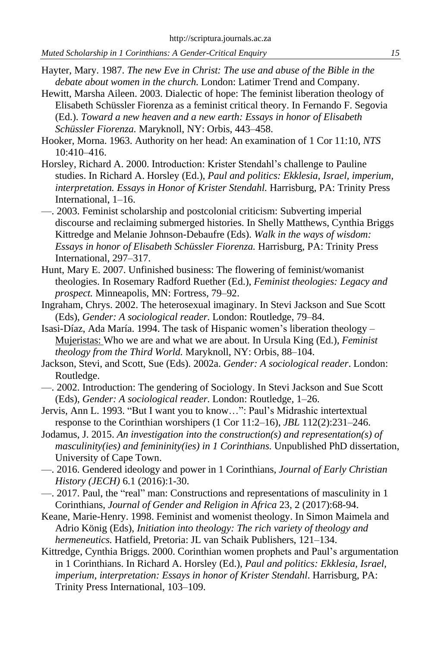- Hayter, Mary. 1987. *The new Eve in Christ: The use and abuse of the Bible in the debate about women in the church.* London: Latimer Trend and Company.
- Hewitt, Marsha Aileen. 2003. Dialectic of hope: The feminist liberation theology of Elisabeth Schüssler Fiorenza as a feminist critical theory. In Fernando F. Segovia (Ed.). *Toward a new heaven and a new earth: Essays in honor of Elisabeth Schüssler Fiorenza.* Maryknoll, NY: Orbis, 443–458.
- Hooker, Morna. 1963. Authority on her head: An examination of 1 Cor 11:10, *NTS* 10:410–416.
- Horsley, Richard A. 2000. Introduction: Krister Stendahl's challenge to Pauline studies. In Richard A. Horsley (Ed.), *Paul and politics: Ekklesia, Israel, imperium, interpretation. Essays in Honor of Krister Stendahl.* Harrisburg, PA: Trinity Press International, 1–16.
- —. 2003. Feminist scholarship and postcolonial criticism: Subverting imperial discourse and reclaiming submerged histories. In Shelly Matthews, Cynthia Briggs Kittredge and Melanie Johnson-Debaufre (Eds). *Walk in the ways of wisdom: Essays in honor of Elisabeth Schüssler Fiorenza.* Harrisburg, PA: Trinity Press International, 297–317.
- Hunt, Mary E. 2007. Unfinished business: The flowering of feminist/womanist theologies. In Rosemary Radford Ruether (Ed.), *Feminist theologies: Legacy and prospect.* Minneapolis, MN: Fortress, 79–92.
- Ingraham, Chrys. 2002. The heterosexual imaginary. In Stevi Jackson and Sue Scott (Eds), *Gender: A sociological reader.* London: Routledge, 79–84.
- Isasi-Díaz, Ada María. 1994. The task of Hispanic women's liberation theology Mujeristas: Who we are and what we are about. In Ursula King (Ed.), *Feminist theology from the Third World.* Maryknoll, NY: Orbis, 88–104.
- Jackson, Stevi, and Scott, Sue (Eds). 2002a. *Gender: A sociological reader*. London: Routledge.
- —. 2002. Introduction: The gendering of Sociology. In Stevi Jackson and Sue Scott (Eds), *Gender: A sociological reader.* London: Routledge, 1–26.
- Jervis, Ann L. 1993. "But I want you to know…": Paul's Midrashic intertextual response to the Corinthian worshipers (1 Cor 11:2–16), *JBL* 112(2):231–246.
- Jodamus, J. 2015. *An investigation into the construction(s) and representation(s) of masculinity(ies) and femininity(ies) in 1 Corinthians.* Unpublished PhD dissertation, University of Cape Town.
- —. 2016. Gendered ideology and power in 1 Corinthians, *Journal of Early Christian History (JECH)* 6.1 (2016):1-30.
- —. 2017. Paul, the "real" man: Constructions and representations of masculinity in 1 Corinthians, *Journal of Gender and Religion in Africa* 23, 2 (2017):68-94.
- Keane, Marie-Henry. 1998. Feminist and womenist theology. In Simon Maimela and Adrio König (Eds), *Initiation into theology: The rich variety of theology and hermeneutics.* Hatfield, Pretoria: JL van Schaik Publishers, 121–134.
- Kittredge, Cynthia Briggs. 2000. Corinthian women prophets and Paul's argumentation in 1 Corinthians. In Richard A. Horsley (Ed.), *Paul and politics: Ekklesia, Israel, imperium, interpretation: Essays in honor of Krister Stendahl*. Harrisburg, PA: Trinity Press International, 103–109.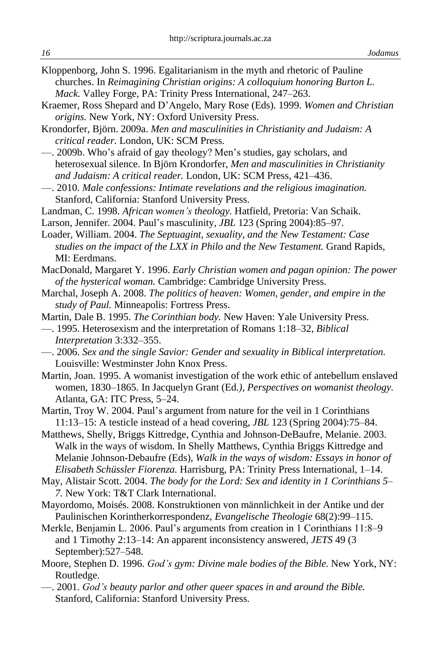- Kloppenborg, John S. 1996. Egalitarianism in the myth and rhetoric of Pauline churches. In *Reimagining Christian origins: A colloquium honoring Burton L. Mack.* Valley Forge, PA: Trinity Press International, 247–263.
- Kraemer, Ross Shepard and D'Angelo, Mary Rose (Eds). 1999. *Women and Christian origins.* New York, NY: Oxford University Press.
- Krondorfer, Björn. 2009a. *Men and masculinities in Christianity and Judaism: A critical reader.* London, UK: SCM Press.
- —. 2009b. Who's afraid of gay theology? Men's studies, gay scholars, and heterosexual silence. In Björn Krondorfer, *Men and masculinities in Christianity and Judaism: A critical reader.* London, UK: SCM Press, 421–436.
- —. 2010. *Male confessions: Intimate revelations and the religious imagination.* Stanford, California: Stanford University Press.
- Landman, C. 1998. *African women's theology.* Hatfield, Pretoria: Van Schaik.
- Larson, Jennifer. 2004. Paul's masculinity, *JBL* 123 (Spring 2004):85–97.
- Loader, William. 2004. *The Septuagint, sexuality, and the New Testament: Case studies on the impact of the LXX in Philo and the New Testament.* Grand Rapids, MI: Eerdmans.
- MacDonald, Margaret Y. 1996. *Early Christian women and pagan opinion: The power of the hysterical woman.* Cambridge: Cambridge University Press.
- Marchal, Joseph A. 2008. *The politics of heaven: Women, gender, and empire in the study of Paul.* Minneapolis: Fortress Press.
- Martin, Dale B. 1995. *The Corinthian body.* New Haven: Yale University Press.
- —. 1995. Heterosexism and the interpretation of Romans 1:18–32, *Biblical Interpretation* 3:332–355.
- —. 2006. *Sex and the single Savior: Gender and sexuality in Biblical interpretation.* Louisville: Westminster John Knox Press.
- Martin, Joan. 1995. A womanist investigation of the work ethic of antebellum enslaved women, 1830–1865. In Jacquelyn Grant (Ed*.), Perspectives on womanist theology.* Atlanta, GA: ITC Press, 5–24.
- Martin, Troy W. 2004. Paul's argument from nature for the veil in 1 Corinthians 11:13–15: A testicle instead of a head covering, *JBL* 123 (Spring 2004):75–84.
- Matthews, Shelly, Briggs Kittredge, Cynthia and Johnson-DeBaufre, Melanie. 2003. Walk in the ways of wisdom. In Shelly Matthews, Cynthia Briggs Kittredge and Melanie Johnson-Debaufre (Eds), *Walk in the ways of wisdom: Essays in honor of Elisabeth Schüssler Fiorenza.* Harrisburg, PA: Trinity Press International, 1–14.
- May, Alistair Scott. 2004. *The body for the Lord: Sex and identity in 1 Corinthians 5– 7.* New York: T&T Clark International.
- Mayordomo, Moisés. 2008. Konstruktionen von männlichkeit in der Antike und der Paulinischen Korintherkorrespondenz*, Evangelische Theologie* 68(2):99–115.
- Merkle, Benjamin L. 2006. Paul's arguments from creation in 1 Corinthians 11:8–9 and 1 Timothy 2:13–14: An apparent inconsistency answered, *JETS* 49 (3 September):527–548.
- Moore, Stephen D. 1996. *God's gym: Divine male bodies of the Bible.* New York, NY: Routledge.
- —. 2001. *God's beauty parlor and other queer spaces in and around the Bible.* Stanford, California: Stanford University Press.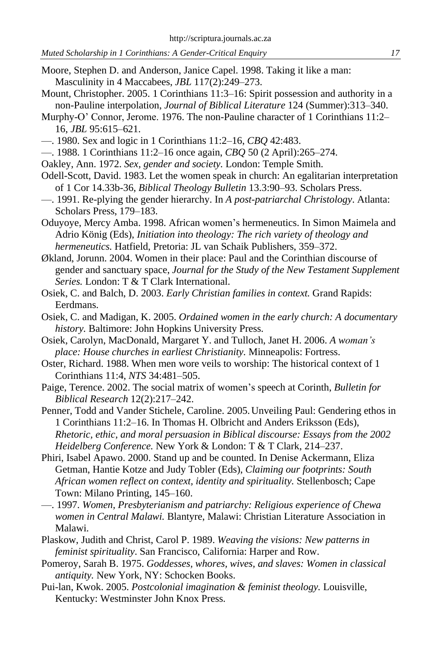- Moore, Stephen D. and Anderson, Janice Capel. 1998. Taking it like a man: Masculinity in 4 Maccabees, *JBL* 117(2):249–273.
- Mount, Christopher. 2005. 1 Corinthians 11:3–16: Spirit possession and authority in a non-Pauline interpolation, *Journal of Biblical Literature* 124 (Summer):313–340.
- Murphy-O' Connor, Jerome. 1976. The non-Pauline character of 1 Corinthians 11:2– 16, *JBL* 95:615–621.
- —. 1980. Sex and logic in 1 Corinthians 11:2–16, *CBQ* 42:483.
- —. 1988. 1 Corinthians 11:2–16 once again, *CBQ* 50 (2 April):265–274.
- Oakley, Ann. 1972. *Sex, gender and society.* London: Temple Smith.
- Odell-Scott, David. 1983. Let the women speak in church: An egalitarian interpretation of 1 Cor 14.33b-36, *Biblical Theology Bulletin* 13.3:90–93. Scholars Press.
- —. 1991. Re-plying the gender hierarchy. In *A post-patriarchal Christology*. Atlanta: Scholars Press, 179–183.
- Oduyoye, Mercy Amba. 1998. African women's hermeneutics. In Simon Maimela and Adrio König (Eds), *Initiation into theology: The rich variety of theology and hermeneutics.* Hatfield, Pretoria: JL van Schaik Publishers, 359–372.
- Økland, Jorunn. 2004. Women in their place: Paul and the Corinthian discourse of gender and sanctuary space, *Journal for the Study of the New Testament Supplement Series.* London: T & T Clark International.
- Osiek, C. and Balch, D. 2003. *Early Christian families in context.* Grand Rapids: Eerdmans.
- Osiek, C. and Madigan, K. 2005. *Ordained women in the early church: A documentary history.* Baltimore: John Hopkins University Press.
- Osiek, Carolyn, MacDonald, Margaret Y. and Tulloch, Janet H. 2006. *A woman's place: House churches in earliest Christianity.* Minneapolis: Fortress.
- Oster, Richard. 1988. When men wore veils to worship: The historical context of 1 Corinthians 11:4, *NTS* 34:481–505.
- Paige, Terence. 2002. The social matrix of women's speech at Corinth, *Bulletin for Biblical Research* 12(2):217–242.
- Penner, Todd and Vander Stichele, Caroline. 2005.Unveiling Paul: Gendering ethos in 1 Corinthians 11:2–16. In Thomas H. Olbricht and Anders Eriksson (Eds), *Rhetoric, ethic, and moral persuasion in Biblical discourse: Essays from the 2002 Heidelberg Conference.* New York & London: T & T Clark, 214–237.
- Phiri, Isabel Apawo. 2000. Stand up and be counted. In Denise Ackermann, Eliza Getman, Hantie Kotze and Judy Tobler (Eds), *Claiming our footprints: South African women reflect on context, identity and spirituality.* Stellenbosch; Cape Town: Milano Printing, 145–160.
- —. 1997. *Women, Presbyterianism and patriarchy: Religious experience of Chewa women in Central Malawi.* Blantyre, Malawi: Christian Literature Association in Malawi.
- Plaskow, Judith and Christ, Carol P. 1989. *Weaving the visions: New patterns in feminist spirituality*. San Francisco, California: Harper and Row.
- Pomeroy, Sarah B. 1975. *Goddesses, whores, wives, and slaves: Women in classical antiquity.* New York, NY: Schocken Books.
- Pui-lan, Kwok. 2005. *Postcolonial imagination & feminist theology.* Louisville, Kentucky: Westminster John Knox Press.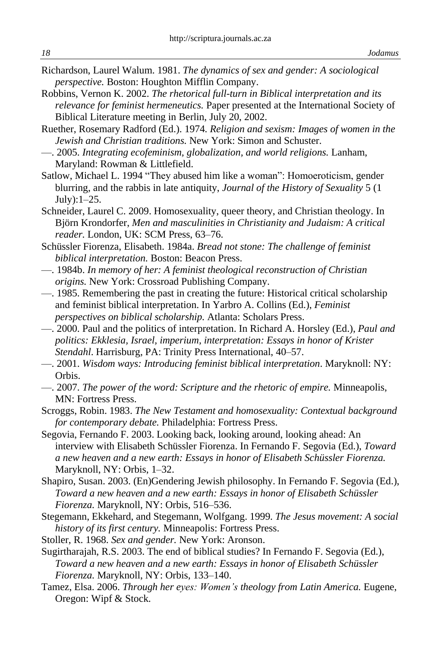- Richardson, Laurel Walum. 1981. *The dynamics of sex and gender: A sociological perspective.* Boston: Houghton Mifflin Company.
- Robbins, Vernon K. 2002. *The rhetorical full-turn in Biblical interpretation and its relevance for feminist hermeneutics.* Paper presented at the International Society of Biblical Literature meeting in Berlin, July 20, 2002.
- Ruether, Rosemary Radford (Ed.). 1974*. Religion and sexism: Images of women in the Jewish and Christian traditions.* New York: Simon and Schuster.
- —. 2005. *Integrating ecofeminism, globalization, and world religions.* Lanham, Maryland: Rowman & Littlefield.
- Satlow, Michael L. 1994 "They abused him like a woman": Homoeroticism, gender blurring, and the rabbis in late antiquity, *Journal of the History of Sexuality* 5 (1 July):1–25.
- Schneider, Laurel C. 2009. Homosexuality, queer theory, and Christian theology. In Björn Krondorfer, *Men and masculinities in Christianity and Judaism: A critical reader.* London, UK: SCM Press, 63–76.
- Schüssler Fiorenza, Elisabeth. 1984a. *Bread not stone: The challenge of feminist biblical interpretation.* Boston: Beacon Press.
- —. 1984b. *In memory of her: A feminist theological reconstruction of Christian origins.* New York: Crossroad Publishing Company.
- —. 1985. Remembering the past in creating the future: Historical critical scholarship and feminist biblical interpretation. In Yarbro A. Collins (Ed.), *Feminist perspectives on biblical scholarship.* Atlanta: Scholars Press.
- —. 2000. Paul and the politics of interpretation. In Richard A. Horsley (Ed.), *Paul and politics: Ekklesia, Israel, imperium, interpretation: Essays in honor of Krister Stendahl*. Harrisburg, PA: Trinity Press International, 40–57.
- —. 2001. *Wisdom ways: Introducing feminist biblical interpretation*. Maryknoll: NY: Orbis.
- —. 2007. *The power of the word: Scripture and the rhetoric of empire.* Minneapolis, MN: Fortress Press.

Scroggs, Robin. 1983. *The New Testament and homosexuality: Contextual background for contemporary debate.* Philadelphia: Fortress Press.

- Segovia, Fernando F. 2003. Looking back, looking around, looking ahead: An interview with Elisabeth Schüssler Fiorenza. In Fernando F. Segovia (Ed.), *Toward a new heaven and a new earth: Essays in honor of Elisabeth Schüssler Fiorenza.* Maryknoll, NY: Orbis, 1–32.
- Shapiro, Susan. 2003. (En)Gendering Jewish philosophy. In Fernando F. Segovia (Ed.), *Toward a new heaven and a new earth: Essays in honor of Elisabeth Schüssler Fiorenza.* Maryknoll, NY: Orbis, 516–536.
- Stegemann, Ekkehard, and Stegemann, Wolfgang. 1999. *The Jesus movement: A social history of its first century.* Minneapolis: Fortress Press.
- Stoller, R. 1968. *Sex and gender.* New York: Aronson.
- Sugirtharajah, R.S. 2003. The end of biblical studies? In Fernando F. Segovia (Ed.), *Toward a new heaven and a new earth: Essays in honor of Elisabeth Schüssler Fiorenza.* Maryknoll, NY: Orbis, 133–140.
- Tamez, Elsa. 2006. *Through her eyes: Women's theology from Latin America.* Eugene, Oregon: Wipf & Stock.